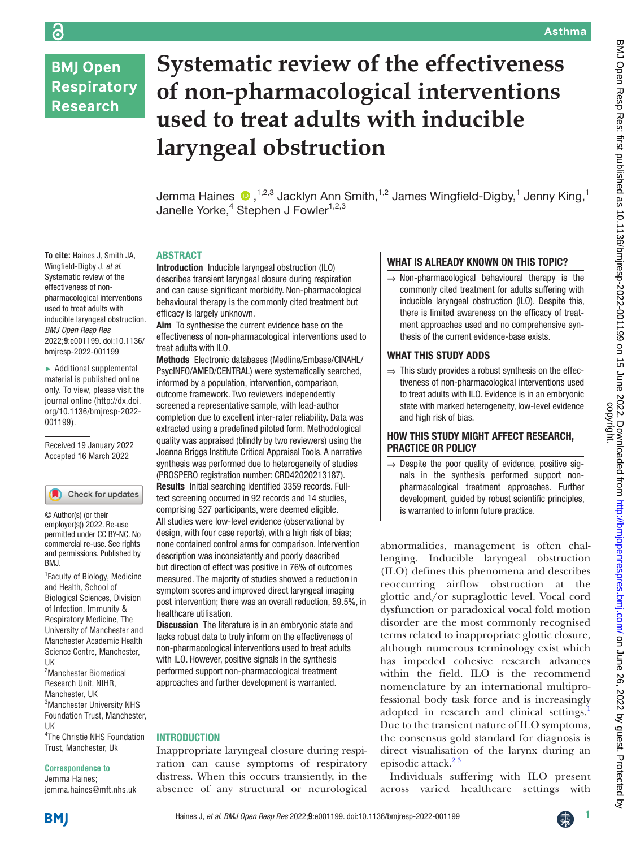# **BMJ Open Respiratory Research**

ခြ

**To cite:** Haines J, Smith JA, Wingfield-Digby J, *et al*. Systematic review of the effectiveness of nonpharmacological interventions used to treat adults with inducible laryngeal obstruction. *BMJ Open Resp Res* 2022;**9**:e001199. doi:10.1136/ bmjresp-2022-001199 ► Additional supplemental material is published online only. To view, please visit the journal online ([http://dx.doi.](http://dx.doi.org/10.1136/bmjresp-2022-001199) [org/10.1136/bmjresp-2022-](http://dx.doi.org/10.1136/bmjresp-2022-001199)

[001199](http://dx.doi.org/10.1136/bmjresp-2022-001199)).

Received 19 January 2022 Accepted 16 March 2022

Check for updates

© Author(s) (or their employer(s)) 2022. Re-use permitted under CC BY-NC. No commercial re-use. See rights and permissions. Published by

1 Faculty of Biology, Medicine and Health, School of Biological Sciences, Division of Infection, Immunity & Respiratory Medicine, The University of Manchester and Manchester Academic Health Science Centre, Manchester,

# **Systematic review of the effectiveness of non-pharmacological interventions used to treat adults with inducible laryngeal obstruction**

Jemma Haines  $\bigcirc$  ,<sup>1,2,3</sup> Jacklyn Ann Smith,<sup>1,2</sup> James Wingfield-Digby,<sup>1</sup> Jenny King,<sup>1</sup> Janelle Yorke,<sup>4</sup> Stephen J Fowler<sup>1,2,3</sup>

# ABSTRACT

Introduction Inducible laryngeal obstruction (ILO) describes transient laryngeal closure during respiration and can cause significant morbidity. Non-pharmacological behavioural therapy is the commonly cited treatment but efficacy is largely unknown.

Aim To synthesise the current evidence base on the effectiveness of non-pharmacological interventions used to treat adults with ILO.

Methods Electronic databases (Medline/Embase/CINAHL/ PsycINFO/AMED/CENTRAL) were systematically searched, informed by a population, intervention, comparison, outcome framework. Two reviewers independently screened a representative sample, with lead-author completion due to excellent inter-rater reliability. Data was extracted using a predefined piloted form. Methodological quality was appraised (blindly by two reviewers) using the Joanna Briggs Institute Critical Appraisal Tools. A narrative synthesis was performed due to heterogeneity of studies (PROSPERO registration number: CRD42020213187). Results Initial searching identified 3359 records. Fulltext screening occurred in 92 records and 14 studies, comprising 527 participants, were deemed eligible. All studies were low-level evidence (observational by design, with four case reports), with a high risk of bias; none contained control arms for comparison. Intervention description was inconsistently and poorly described but direction of effect was positive in 76% of outcomes measured. The majority of studies showed a reduction in symptom scores and improved direct laryngeal imaging post intervention; there was an overall reduction, 59.5%, in healthcare utilisation.

Discussion The literature is in an embryonic state and lacks robust data to truly inform on the effectiveness of non-pharmacological interventions used to treat adults with ILO. However, positive signals in the synthesis performed support non-pharmacological treatment approaches and further development is warranted.

#### **INTRODUCTION**

Inappropriate laryngeal closure during respiration can cause symptoms of respiratory distress. When this occurs transiently, in the absence of any structural or neurological

#### WHAT IS ALREADY KNOWN ON THIS TOPIC?

 $\Rightarrow$  Non-pharmacological behavioural therapy is the commonly cited treatment for adults suffering with inducible laryngeal obstruction (ILO). Despite this, there is limited awareness on the efficacy of treatment approaches used and no comprehensive synthesis of the current evidence-base exists.

# WHAT THIS STUDY ADDS

 $\Rightarrow$  This study provides a robust synthesis on the effectiveness of non-pharmacological interventions used to treat adults with ILO. Evidence is in an embryonic state with marked heterogeneity, low-level evidence and high risk of bias.

# HOW THIS STUDY MIGHT AFFECT RESEARCH, PRACTICE OR POLICY

 $\Rightarrow$  Despite the poor quality of evidence, positive signals in the synthesis performed support nonpharmacological treatment approaches. Further development, guided by robust scientific principles, is warranted to inform future practice.

abnormalities, management is often challenging. Inducible laryngeal obstruction (ILO) defines this phenomena and describes reoccurring airflow obstruction at the glottic and/or supraglottic level. Vocal cord dysfunction or paradoxical vocal fold motion disorder are the most commonly recognised terms related to inappropriate glottic closure, although numerous terminology exist which has impeded cohesive research advances within the field. ILO is the recommend nomenclature by an international multiprofessional body task force and is increasingly adopted in research and clinical settings.<sup>[1](#page-8-0)</sup> Due to the transient nature of ILO symptoms, the consensus gold standard for diagnosis is direct visualisation of the larynx during an episodic attack.<sup>23</sup>

Individuals suffering with ILO present across varied healthcare settings with

Jemma Haines; jemma.haines@mft.nhs.uk

2 Manchester Biomedical Research Unit, NIHR, Manchester, UK

3 Manchester University NHS Foundation Trust, Manchester,

4 The Christie NHS Foundation Trust, Manchester, Uk **Correspondence to**



UK

BMJ.

UK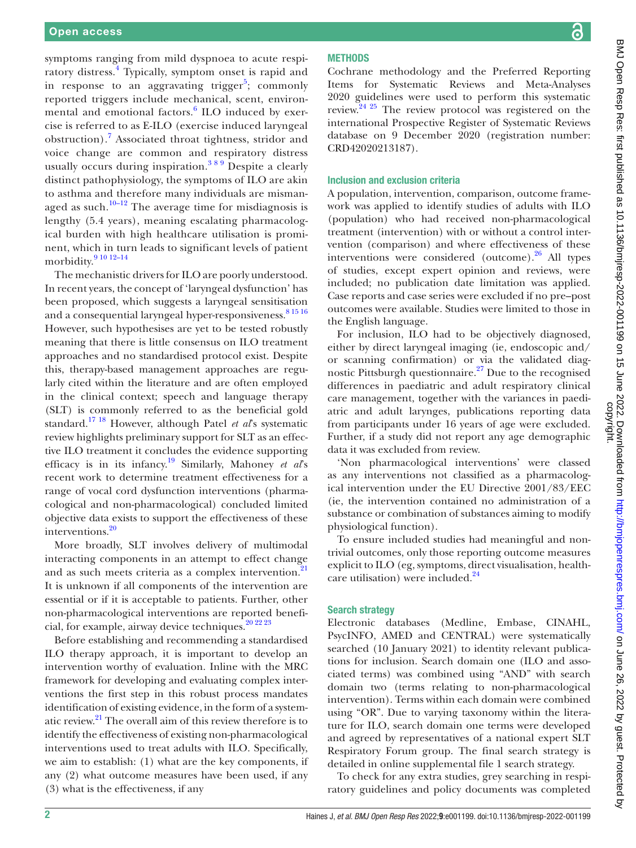symptoms ranging from mild dyspnoea to acute respi-ratory distress.<sup>[4](#page-8-2)</sup> Typically, symptom onset is rapid and in response to an aggravating trigger<sup>[5](#page-8-3)</sup>; commonly reported triggers include mechanical, scent, environ-mental and emotional factors.<sup>[6](#page-8-4)</sup> ILO induced by exercise is referred to as E-ILO (exercise induced laryngeal obstruction).<sup>[7](#page-8-5)</sup> Associated throat tightness, stridor and voice change are common and respiratory distress usually occurs during inspiration.<sup>389</sup> Despite a clearly distinct pathophysiology, the symptoms of ILO are akin to asthma and therefore many individuals are mismanaged as such.<sup>10–12</sup> The average time for misdiagnosis is lengthy (5.4 years), meaning escalating pharmacological burden with high healthcare utilisation is prominent, which in turn leads to significant levels of patient morbidity. $91012-14$ 

The mechanistic drivers for ILO are poorly understood. In recent years, the concept of 'laryngeal dysfunction' has been proposed, which suggests a laryngeal sensitisation and a consequential laryngeal hyper-responsiveness.<sup>[8 15 16](#page-8-9)</sup> However, such hypothesises are yet to be tested robustly meaning that there is little consensus on ILO treatment approaches and no standardised protocol exist. Despite this, therapy-based management approaches are regularly cited within the literature and are often employed in the clinical context; speech and language therapy (SLT) is commonly referred to as the beneficial gold standard.[17 18](#page-8-10) However, although Patel *et al*'s systematic review highlights preliminary support for SLT as an effective ILO treatment it concludes the evidence supporting efficacy is in its infancy.[19](#page-8-11) Similarly, Mahoney *et al*'s recent work to determine treatment effectiveness for a range of vocal cord dysfunction interventions (pharmacological and non-pharmacological) concluded limited objective data exists to support the effectiveness of these interventions[.20](#page-8-12)

More broadly, SLT involves delivery of multimodal interacting components in an attempt to effect change and as such meets criteria as a complex intervention.<sup>21</sup> It is unknown if all components of the intervention are essential or if it is acceptable to patients. Further, other non-pharmacological interventions are reported benefi-cial, for example, airway device techniques.<sup>[20 22 23](#page-8-12)</sup>

Before establishing and recommending a standardised ILO therapy approach, it is important to develop an intervention worthy of evaluation. Inline with the MRC framework for developing and evaluating complex interventions the first step in this robust process mandates identification of existing evidence, in the form of a systematic review.[21](#page-8-13) The overall aim of this review therefore is to identify the effectiveness of existing non-pharmacological interventions used to treat adults with ILO. Specifically, we aim to establish: (1) what are the key components, if any (2) what outcome measures have been used, if any (3) what is the effectiveness, if any

# **METHODS**

Cochrane methodology and the Preferred Reporting Items for Systematic Reviews and Meta-Analyses 2020 guidelines were used to perform this systematic review.[24 25](#page-8-14) The review protocol was registered on the international Prospective Register of Systematic Reviews database on 9 December 2020 (registration number: [CRD42020213187\)](https://www.crd.york.ac.uk/prospero/display_record.php?RecordID=213187).

### Inclusion and exclusion criteria

A population, intervention, comparison, outcome framework was applied to identify studies of adults with ILO (population) who had received non-pharmacological treatment (intervention) with or without a control intervention (comparison) and where effectiveness of these interventions were considered (outcome). $^{26}$  $^{26}$  $^{26}$  All types of studies, except expert opinion and reviews, were included; no publication date limitation was applied. Case reports and case series were excluded if no pre–post outcomes were available. Studies were limited to those in the English language.

For inclusion, ILO had to be objectively diagnosed, either by direct laryngeal imaging (ie, endoscopic and/ or scanning confirmation) or via the validated diagnostic Pittsburgh questionnaire.<sup>27</sup> Due to the recognised differences in paediatric and adult respiratory clinical care management, together with the variances in paediatric and adult larynges, publications reporting data from participants under 16 years of age were excluded. Further, if a study did not report any age demographic data it was excluded from review.

'Non pharmacological interventions' were classed as any interventions not classified as a pharmacological intervention under the EU Directive 2001/83/EEC (ie, the intervention contained no administration of a substance or combination of substances aiming to modify physiological function).

To ensure included studies had meaningful and nontrivial outcomes, only those reporting outcome measures explicit to ILO (eg, symptoms, direct visualisation, healthcare utilisation) were included. $24$ 

#### Search strategy

Electronic databases (Medline, Embase, CINAHL, PsycINFO, AMED and CENTRAL) were systematically searched (10 January 2021) to identity relevant publications for inclusion. Search domain one (ILO and associated terms) was combined using "AND" with search domain two (terms relating to non-pharmacological intervention). Terms within each domain were combined using "OR". Due to varying taxonomy within the literature for ILO, search domain one terms were developed and agreed by representatives of a national expert SLT Respiratory Forum group. The final search strategy is detailed in [online supplemental file 1](https://dx.doi.org/10.1136/bmjresp-2022-001199) search strategy.

To check for any extra studies, grey searching in respiratory guidelines and policy documents was completed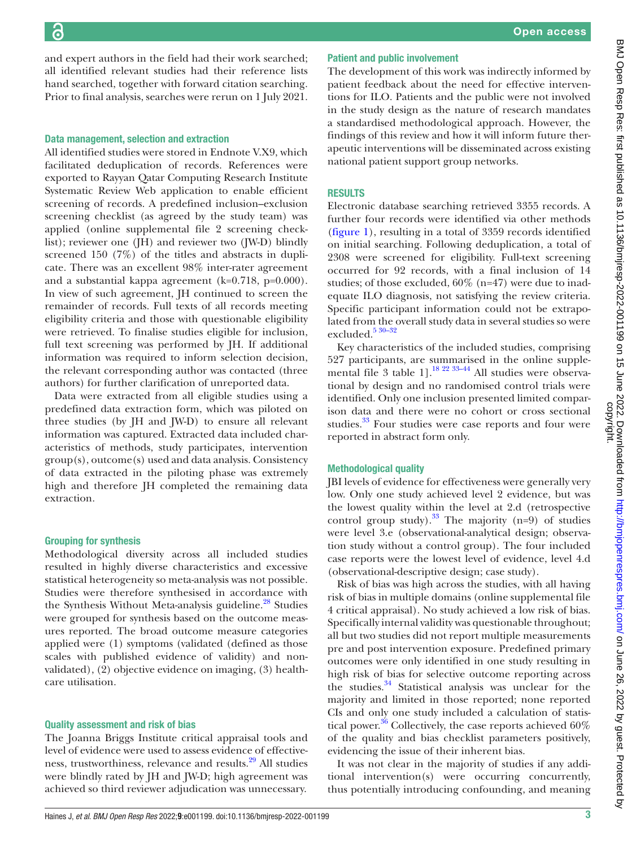and expert authors in the field had their work searched; all identified relevant studies had their reference lists hand searched, together with forward citation searching. Prior to final analysis, searches were rerun on 1 July 2021.

#### Data management, selection and extraction

All identified studies were stored in Endnote V.X9, which facilitated deduplication of records. References were exported to Rayyan Qatar Computing Research Institute Systematic Review Web application to enable efficient screening of records. A predefined inclusion–exclusion screening checklist (as agreed by the study team) was applied ([online supplemental file 2](https://dx.doi.org/10.1136/bmjresp-2022-001199) screening checklist); reviewer one (JH) and reviewer two (JW-D) blindly screened 150 (7%) of the titles and abstracts in duplicate. There was an excellent 98% inter-rater agreement and a substantial kappa agreement (k=0.718, p=0.000). In view of such agreement, JH continued to screen the remainder of records. Full texts of all records meeting eligibility criteria and those with questionable eligibility were retrieved. To finalise studies eligible for inclusion, full text screening was performed by JH. If additional information was required to inform selection decision, the relevant corresponding author was contacted (three authors) for further clarification of unreported data.

Data were extracted from all eligible studies using a predefined data extraction form, which was piloted on three studies (by JH and JW-D) to ensure all relevant information was captured. Extracted data included characteristics of methods, study participates, intervention group(s), outcome(s) used and data analysis. Consistency of data extracted in the piloting phase was extremely high and therefore JH completed the remaining data extraction.

#### Grouping for synthesis

Methodological diversity across all included studies resulted in highly diverse characteristics and excessive statistical heterogeneity so meta-analysis was not possible. Studies were therefore synthesised in accordance with the Synthesis Without Meta-analysis guideline.<sup>28</sup> Studies were grouped for synthesis based on the outcome measures reported. The broad outcome measure categories applied were (1) symptoms (validated (defined as those scales with published evidence of validity) and nonvalidated), (2) objective evidence on imaging, (3) healthcare utilisation.

#### Quality assessment and risk of bias

The Joanna Briggs Institute critical appraisal tools and level of evidence were used to assess evidence of effectiveness, trustworthiness, relevance and results.<sup>29</sup> All studies were blindly rated by JH and JW-D; high agreement was achieved so third reviewer adjudication was unnecessary.

### Patient and public involvement

The development of this work was indirectly informed by patient feedback about the need for effective interventions for ILO. Patients and the public were not involved in the study design as the nature of research mandates a standardised methodological approach. However, the findings of this review and how it will inform future therapeutic interventions will be disseminated across existing national patient support group networks.

# **RESULTS**

Electronic database searching retrieved 3355 records. A further four records were identified via other methods [\(figure](#page-3-0) 1), resulting in a total of 3359 records identified on initial searching. Following deduplication, a total of 2308 were screened for eligibility. Full-text screening occurred for 92 records, with a final inclusion of 14 studies; of those excluded, 60% (n=47) were due to inadequate ILO diagnosis, not satisfying the review criteria. Specific participant information could not be extrapolated from the overall study data in several studies so were excluded.<sup>5</sup> 30-32

Key characteristics of the included studies, comprising 527 participants, are summarised in the [online supple](https://dx.doi.org/10.1136/bmjresp-2022-001199)[mental file 3](https://dx.doi.org/10.1136/bmjresp-2022-001199) table 1].<sup>18 22 33-44</sup> All studies were observational by design and no randomised control trials were identified. Only one inclusion presented limited comparison data and there were no cohort or cross sectional studies.<sup>33</sup> Four studies were case reports and four were reported in abstract form only.

# Methodological quality

JBI levels of evidence for effectiveness were generally very low. Only one study achieved level 2 evidence, but was the lowest quality within the level at 2.d (retrospective control group study).<sup>[33](#page-8-20)</sup> The majority (n=9) of studies were level 3.e (observational-analytical design; observation study without a control group). The four included case reports were the lowest level of evidence, level 4.d (observational-descriptive design; case study).

Risk of bias was high across the studies, with all having risk of bias in multiple domains ([online supplemental file](https://dx.doi.org/10.1136/bmjresp-2022-001199) [4](https://dx.doi.org/10.1136/bmjresp-2022-001199) critical appraisal). No study achieved a low risk of bias. Specifically internal validity was questionable throughout; all but two studies did not report multiple measurements pre and post intervention exposure. Predefined primary outcomes were only identified in one study resulting in high risk of bias for selective outcome reporting across the studies.[34](#page-8-21) Statistical analysis was unclear for the majority and limited in those reported; none reported CIs and only one study included a calculation of statis-tical power.<sup>[36](#page-8-22)</sup> Collectively, the case reports achieved  $60\%$ of the quality and bias checklist parameters positively, evidencing the issue of their inherent bias.

It was not clear in the majority of studies if any additional intervention(s) were occurring concurrently, thus potentially introducing confounding, and meaning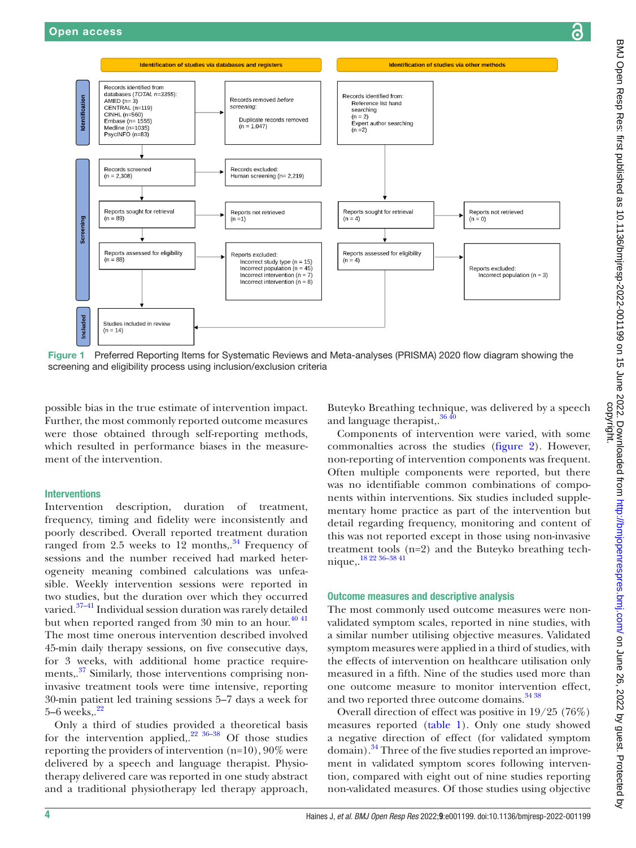

<span id="page-3-0"></span>Figure 1 Preferred Reporting Items for Systematic Reviews and Meta-analyses (PRISMA) 2020 flow diagram showing the screening and eligibility process using inclusion/exclusion criteria

possible bias in the true estimate of intervention impact. Further, the most commonly reported outcome measures were those obtained through self-reporting methods, which resulted in performance biases in the measurement of the intervention.

# Interventions

Intervention description, duration of treatment, frequency, timing and fidelity were inconsistently and poorly described. Overall reported treatment duration ranged from  $2.5$  weeks to  $12$  months,.<sup>34</sup> Frequency of sessions and the number received had marked heterogeneity meaning combined calculations was unfeasible. Weekly intervention sessions were reported in two studies, but the duration over which they occurred varied.<sup>37-41</sup> Individual session duration was rarely detailed but when reported ranged from 30 min to an hour.<sup>40 41</sup> The most time onerous intervention described involved 45-min daily therapy sessions, on five consecutive days, for 3 weeks, with additional home practice require-ments,.<sup>[37](#page-8-23)</sup> Similarly, those interventions comprising noninvasive treatment tools were time intensive, reporting 30-min patient led training sessions 5–7 days a week for  $5-6$  weeks.. $22$ 

Only a third of studies provided a theoretical basis for the intervention applied,. $2^{2}$  36-38 Of those studies reporting the providers of intervention (n=10), 90% were delivered by a speech and language therapist. Physiotherapy delivered care was reported in one study abstract and a traditional physiotherapy led therapy approach,

Buteyko Breathing technique, was delivered by a speech and language therapist,. $36\frac{40}{2}$ 

Components of intervention were varied, with some commonalties across the studies [\(figure](#page-4-0) 2). However, non-reporting of intervention components was frequent. Often multiple components were reported, but there was no identifiable common combinations of components within interventions. Six studies included supplementary home practice as part of the intervention but detail regarding frequency, monitoring and content of this was not reported except in those using non-invasive treatment tools (n=2) and the Buteyko breathing technique,[.18 22 36–38 41](#page-8-19)

#### Outcome measures and descriptive analysis

The most commonly used outcome measures were nonvalidated symptom scales, reported in nine studies, with a similar number utilising objective measures. Validated symptom measures were applied in a third of studies, with the effects of intervention on healthcare utilisation only measured in a fifth. Nine of the studies used more than one outcome measure to monitor intervention effect, and two reported three outcome domains.<sup>34 38</sup>

Overall direction of effect was positive in 19/25 (76%) measures reported ([table](#page-5-0) 1). Only one study showed a negative direction of effect (for validated symptom domain).<sup>34</sup> Three of the five studies reported an improvement in validated symptom scores following intervention, compared with eight out of nine studies reporting non-validated measures. Of those studies using objective

ဥ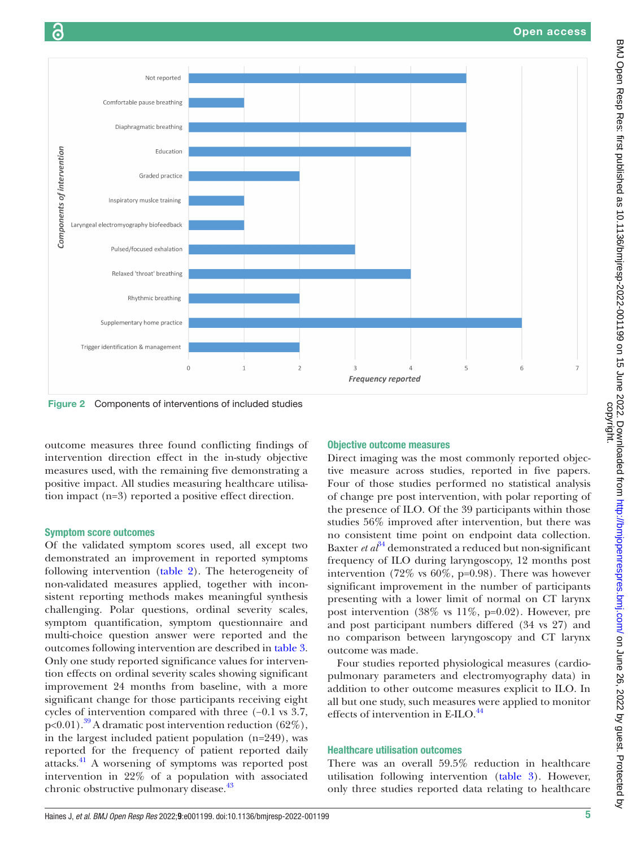

<span id="page-4-0"></span>Figure 2 Components of interventions of included studies

outcome measures three found conflicting findings of intervention direction effect in the in-study objective measures used, with the remaining five demonstrating a positive impact. All studies measuring healthcare utilisation impact (n=3) reported a positive effect direction.

### Symptom score outcomes

Of the validated symptom scores used, all except two demonstrated an improvement in reported symptoms following intervention ([table](#page-6-0) 2). The heterogeneity of non-validated measures applied, together with inconsistent reporting methods makes meaningful synthesis challenging. Polar questions, ordinal severity scales, symptom quantification, symptom questionnaire and multi-choice question answer were reported and the outcomes following intervention are described in [table](#page-7-0) 3. Only one study reported significance values for intervention effects on ordinal severity scales showing significant improvement 24 months from baseline, with a more significant change for those participants receiving eight cycles of intervention compared with three (−0.1 vs 3.7,  $p<0.01$ ).<sup>39</sup> A dramatic post intervention reduction (62%), in the largest included patient population (n=249), was reported for the frequency of patient reported daily attacks[.41](#page-9-2) A worsening of symptoms was reported post intervention in 22% of a population with associated chronic obstructive pulmonary disease.<sup>43</sup>

# Objective outcome measures

Direct imaging was the most commonly reported objective measure across studies, reported in five papers. Four of those studies performed no statistical analysis of change pre post intervention, with polar reporting of the presence of ILO. Of the 39 participants within those studies 56% improved after intervention, but there was no consistent time point on endpoint data collection. Baxter *et al*<sup>34</sup> demonstrated a reduced but non-significant frequency of ILO during laryngoscopy, 12 months post intervention (72% vs  $60\%$ , p=0.98). There was however significant improvement in the number of participants presenting with a lower limit of normal on CT larynx post intervention (38% vs 11%, p=0.02). However, pre and post participant numbers differed (34 vs 27) and no comparison between laryngoscopy and CT larynx outcome was made.

Four studies reported physiological measures (cardiopulmonary parameters and electromyography data) in addition to other outcome measures explicit to ILO. In all but one study, such measures were applied to monitor effects of intervention in E-ILO.<sup>[44](#page-9-4)</sup>

# Healthcare utilisation outcomes

There was an overall 59.5% reduction in healthcare utilisation following intervention [\(table](#page-7-0) 3). However, only three studies reported data relating to healthcare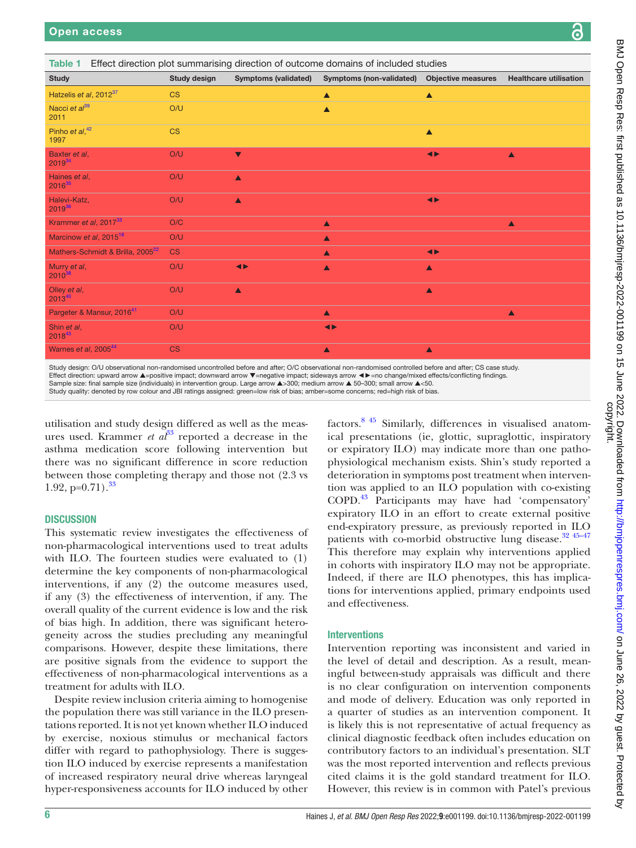| <b>Study</b>                                                                                                                                                                                                                                                                                                                                                                                                                                                                                                                                                                               | <b>Study design</b> | <b>Symptoms (validated)</b> | Symptoms (non-validated) | <b>Objective measures</b> | <b>Healthcare utilisation</b> |
|--------------------------------------------------------------------------------------------------------------------------------------------------------------------------------------------------------------------------------------------------------------------------------------------------------------------------------------------------------------------------------------------------------------------------------------------------------------------------------------------------------------------------------------------------------------------------------------------|---------------------|-----------------------------|--------------------------|---------------------------|-------------------------------|
| Hatzelis et al, 2012 <sup>37</sup>                                                                                                                                                                                                                                                                                                                                                                                                                                                                                                                                                         | <b>CS</b>           |                             | ▲                        | $\blacktriangle$          |                               |
| Nacci et al <sup>39</sup><br>2011                                                                                                                                                                                                                                                                                                                                                                                                                                                                                                                                                          | O/U                 |                             | $\blacktriangle$         |                           |                               |
| Pinho et $al, ^{42}$<br>1997                                                                                                                                                                                                                                                                                                                                                                                                                                                                                                                                                               | <b>CS</b>           |                             |                          | $\blacktriangle$          |                               |
| Baxter et al,<br>$2019^{34}$                                                                                                                                                                                                                                                                                                                                                                                                                                                                                                                                                               | O/U                 | $\blacktriangledown$        |                          | $\blacktriangleleft$      | ▲                             |
| Haines et al.<br>$2016^{35}$                                                                                                                                                                                                                                                                                                                                                                                                                                                                                                                                                               | O/U                 | $\blacktriangle$            |                          |                           |                               |
| Halevi-Katz,<br>201936                                                                                                                                                                                                                                                                                                                                                                                                                                                                                                                                                                     | O/U                 | $\blacktriangle$            |                          | $\blacktriangleleft$      |                               |
| Krammer et al, 2017 <sup>33</sup>                                                                                                                                                                                                                                                                                                                                                                                                                                                                                                                                                          | O/C                 |                             | $\blacktriangle$         |                           | $\blacktriangle$              |
| Marcinow et al, 2015 <sup>18</sup>                                                                                                                                                                                                                                                                                                                                                                                                                                                                                                                                                         | O/U                 |                             | $\blacktriangle$         |                           |                               |
| Mathers-Schmidt & Brilla, 2005 <sup>22</sup>                                                                                                                                                                                                                                                                                                                                                                                                                                                                                                                                               | <b>CS</b>           |                             | $\blacktriangle$         | $\blacktriangleleft$      |                               |
| Murry et al.<br>201038                                                                                                                                                                                                                                                                                                                                                                                                                                                                                                                                                                     | O/U                 | $\blacktriangleleft$        | $\blacktriangle$         | $\blacktriangle$          |                               |
| Olley et al,<br>$2013^{40}$                                                                                                                                                                                                                                                                                                                                                                                                                                                                                                                                                                | O/U                 | $\blacktriangle$            |                          | $\blacktriangle$          |                               |
| Pargeter & Mansur, 2016 <sup>41</sup>                                                                                                                                                                                                                                                                                                                                                                                                                                                                                                                                                      | O/U                 |                             | $\blacktriangle$         |                           | $\blacktriangle$              |
| Shin et al,<br>$2018^{43}$                                                                                                                                                                                                                                                                                                                                                                                                                                                                                                                                                                 | O/U                 |                             | $\blacktriangleleft$     |                           |                               |
| Warnes et al, 2005 <sup>44</sup>                                                                                                                                                                                                                                                                                                                                                                                                                                                                                                                                                           | <b>CS</b>           |                             | $\blacktriangle$         | $\blacktriangle$          |                               |
| Study design: O/U observational non-randomised uncontrolled before and after; O/C observational non-randomised controlled before and after; CS case study.<br>Effect direction: upward arrow ▲=positive impact; downward arrow ▼=negative impact; sideways arrow ◆▶=no change/mixed effects/conflicting findings.<br>Sample size: final sample size (individuals) in intervention group. Large arrow ▲>300; medium arrow ▲ 50-300; small arrow ▲<50.<br>Study quality: denoted by row colour and JBI ratings assigned: green=low risk of bias; amber=some concerns; red=high risk of bias. |                     |                             |                          |                           |                               |

<span id="page-5-0"></span>Table 1 Effect direction plot summarising direction of outcome domains of included studies

utilisation and study design differed as well as the measures used. Krammer *et*  $a\ell^3$  reported a decrease in the asthma medication score following intervention but there was no significant difference in score reduction between those completing therapy and those not (2.3 vs 1.92,  $p=0.71$ ).<sup>[33](#page-8-20)</sup>

# **DISCUSSION**

This systematic review investigates the effectiveness of non-pharmacological interventions used to treat adults with ILO. The fourteen studies were evaluated to (1) determine the key components of non-pharmacological interventions, if any (2) the outcome measures used, if any (3) the effectiveness of intervention, if any. The overall quality of the current evidence is low and the risk of bias high. In addition, there was significant heterogeneity across the studies precluding any meaningful comparisons. However, despite these limitations, there are positive signals from the evidence to support the effectiveness of non-pharmacological interventions as a treatment for adults with ILO.

Despite review inclusion criteria aiming to homogenise the population there was still variance in the ILO presentations reported. It is not yet known whether ILO induced by exercise, noxious stimulus or mechanical factors differ with regard to pathophysiology. There is suggestion ILO induced by exercise represents a manifestation of increased respiratory neural drive whereas laryngeal hyper-responsiveness accounts for ILO induced by other

factors[.8 45](#page-8-9) Similarly, differences in visualised anatomical presentations (ie, glottic, supraglottic, inspiratory or expiratory ILO) may indicate more than one pathophysiological mechanism exists. Shin's study reported a deterioration in symptoms post treatment when intervention was applied to an ILO population with co-existing COPD.[43](#page-9-3) Participants may have had 'compensatory' expiratory ILO in an effort to create external positive end-expiratory pressure, as previously reported in ILO patients with co-morbid obstructive lung disease.<sup>32</sup> <sup>45-47</sup> This therefore may explain why interventions applied in cohorts with inspiratory ILO may not be appropriate. Indeed, if there are ILO phenotypes, this has implications for interventions applied, primary endpoints used and effectiveness.

# Interventions

Intervention reporting was inconsistent and varied in the level of detail and description. As a result, meaningful between-study appraisals was difficult and there is no clear configuration on intervention components and mode of delivery. Education was only reported in a quarter of studies as an intervention component. It is likely this is not representative of actual frequency as clinical diagnostic feedback often includes education on contributory factors to an individual's presentation. SLT was the most reported intervention and reflects previous cited claims it is the gold standard treatment for ILO. However, this review is in common with Patel's previous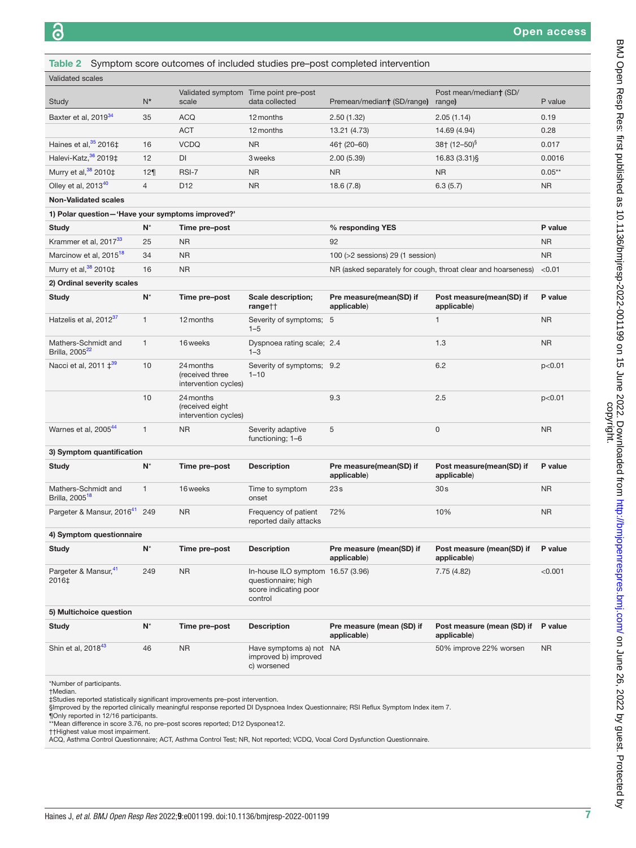<span id="page-6-0"></span>

|                                                   |                |                                                      |                                                                                              | Table 2 Symptom score outcomes of included studies pre-post completed intervention |                                           |           |
|---------------------------------------------------|----------------|------------------------------------------------------|----------------------------------------------------------------------------------------------|------------------------------------------------------------------------------------|-------------------------------------------|-----------|
| <b>Validated scales</b>                           |                |                                                      |                                                                                              |                                                                                    |                                           |           |
| Study                                             | $N^*$          | scale                                                | Validated symptom Time point pre-post<br>data collected                                      | Post mean/median† (SD/<br>Premean/median† (SD/range)<br>range)                     |                                           | P value   |
| Baxter et al, 2019 <sup>34</sup>                  | 35             | <b>ACQ</b>                                           | 12 months                                                                                    | 2.50(1.32)                                                                         | 2.05(1.14)                                | 0.19      |
|                                                   |                | <b>ACT</b>                                           | 12 months                                                                                    | 13.21 (4.73)                                                                       | 14.69 (4.94)                              | 0.28      |
| Haines et al, $35$ 2016‡                          | 16             | <b>VCDQ</b>                                          | <b>NR</b>                                                                                    | 46† (20–60)                                                                        | $38+$ (12-50) <sup>§</sup>                | 0.017     |
| Halevi-Katz, <sup>36</sup> 2019‡                  | 12             | DI                                                   | 3 weeks                                                                                      | 2.00(5.39)                                                                         | 16.83 (3.31)§                             | 0.0016    |
| Murry et al, 38 2010‡                             | 129            | RSI-7                                                | <b>NR</b>                                                                                    | <b>NR</b>                                                                          | NR                                        | $0.05**$  |
| Olley et al, 201340                               | $\overline{4}$ | D <sub>12</sub>                                      | <b>NR</b>                                                                                    | 18.6(7.8)                                                                          | 6.3(5.7)                                  | <b>NR</b> |
| <b>Non-Validated scales</b>                       |                |                                                      |                                                                                              |                                                                                    |                                           |           |
| 1) Polar question-'Have your symptoms improved?'  |                |                                                      |                                                                                              |                                                                                    |                                           |           |
| <b>Study</b>                                      | $N^*$          | Time pre-post                                        |                                                                                              | % responding YES                                                                   |                                           | P value   |
| Krammer et al, 2017 <sup>33</sup>                 | 25             | <b>NR</b>                                            | 92                                                                                           |                                                                                    |                                           | <b>NR</b> |
| Marcinow et al, 2015 <sup>18</sup>                | 34             | <b>NR</b>                                            |                                                                                              | 100 ( $>2$ sessions) 29 (1 session)                                                |                                           | <b>NR</b> |
| Murry et al, 38 2010‡                             | 16             | <b>NR</b>                                            |                                                                                              | NR (asked separately for cough, throat clear and hoarseness)                       |                                           | < 0.01    |
| 2) Ordinal severity scales                        |                |                                                      |                                                                                              |                                                                                    |                                           |           |
| <b>Study</b>                                      | $N^*$          | Time pre-post                                        | Scale description;<br>rangett                                                                | Pre measure(mean(SD) if<br>applicable)                                             | Post measure(mean(SD) if<br>applicable)   | P value   |
| Hatzelis et al, 2012 <sup>37</sup>                | 1              | 12 months                                            | Severity of symptoms; 5<br>$1 - 5$                                                           | 1                                                                                  |                                           | <b>NR</b> |
| Mathers-Schmidt and<br>Brilla, 2005 <sup>22</sup> | $\mathbf{1}$   | 16 weeks                                             | 1.3<br>Dyspnoea rating scale; 2.4<br>$1 - 3$                                                 |                                                                                    |                                           | <b>NR</b> |
| Nacci et al, $2011 \pm^{39}$                      | 10             | 24 months<br>(received three<br>intervention cycles) | Severity of symptoms; 9.2<br>$1 - 10$                                                        |                                                                                    | 6.2                                       | p<0.01    |
|                                                   | 10             | 24 months<br>(received eight<br>intervention cycles) |                                                                                              | 9.3                                                                                | 2.5                                       | p<0.01    |
| Warnes et al, 2005 <sup>44</sup>                  | 1              | <b>NR</b>                                            | Severity adaptive<br>functioning; 1-6                                                        | 5                                                                                  | 0                                         | <b>NR</b> |
| 3) Symptom quantification                         |                |                                                      |                                                                                              |                                                                                    |                                           |           |
| <b>Study</b>                                      | $N^*$          | Time pre-post                                        | <b>Description</b>                                                                           | Pre measure(mean(SD) if<br>applicable)                                             | Post measure(mean(SD) if<br>applicable)   | P value   |
| Mathers-Schmidt and<br>Brilla, 2005 <sup>18</sup> | $\mathbf{1}$   | 16 weeks                                             | Time to symptom<br>onset                                                                     | 23s                                                                                | 30s                                       | <b>NR</b> |
| Pargeter & Mansur, 2016 <sup>41</sup> 249         |                | <b>NR</b>                                            | Frequency of patient<br>reported daily attacks                                               | 72%                                                                                | 10%                                       | <b>NR</b> |
| 4) Symptom questionnaire                          |                |                                                      |                                                                                              |                                                                                    |                                           |           |
| <b>Study</b>                                      | $N^*$          | Time pre-post                                        | <b>Description</b>                                                                           | Pre measure (mean(SD) if<br>applicable)                                            | Post measure (mean(SD) if<br>applicable)  | P value   |
| Pargeter & Mansur, 41<br>2016‡                    | 249            | <b>NR</b>                                            | In-house ILO symptom 16.57 (3.96)<br>questionnaire; high<br>score indicating poor<br>control |                                                                                    | 7.75 (4.82)                               | < 0.001   |
| 5) Multichoice question                           |                |                                                      |                                                                                              |                                                                                    |                                           |           |
| <b>Study</b>                                      | $N^*$          | Time pre-post                                        | <b>Description</b>                                                                           | Pre measure (mean (SD) if<br>applicable)                                           | Post measure (mean (SD) if<br>applicable) | P value   |
| Shin et al, 2018 <sup>43</sup>                    | 46             | <b>NR</b>                                            | Have symptoms a) not NA<br>improved b) improved<br>c) worsened                               |                                                                                    | 50% improve 22% worsen                    | <b>NR</b> |
| *Number of participants.                          |                |                                                      |                                                                                              |                                                                                    |                                           |           |

†Median.

‡Studies reported statistically significant improvements pre–post intervention.<br>§Improved by the reported clinically meaningful response reported DI Dyspnoea Index Questionnaire; RSI Reflux Symptom Index item 7.<br>¶Only rep

††Highest value most impairment. ACQ, Asthma Control Questionnaire; ACT, Asthma Control Test; NR, Not reported; VCDQ, Vocal Cord Dysfunction Questionnaire.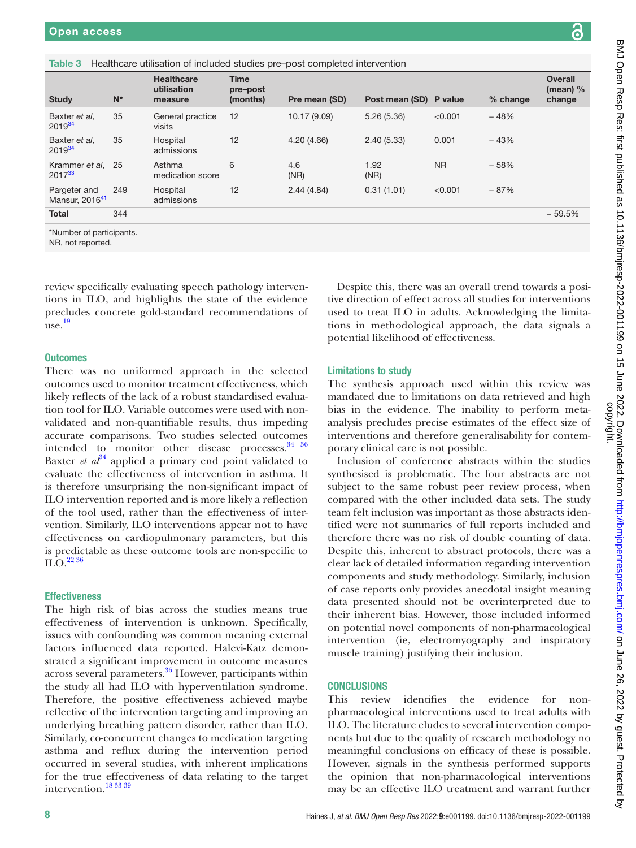<span id="page-7-0"></span>

| Healthcare utilisation of included studies pre-post completed intervention<br>Table 3 |       |                                             |                                     |               |                        |           |            |                                        |
|---------------------------------------------------------------------------------------|-------|---------------------------------------------|-------------------------------------|---------------|------------------------|-----------|------------|----------------------------------------|
| <b>Study</b>                                                                          | $N^*$ | <b>Healthcare</b><br>utilisation<br>measure | <b>Time</b><br>pre-post<br>(months) | Pre mean (SD) | Post mean (SD) P value |           | $%$ change | <b>Overall</b><br>(mean) $%$<br>change |
| Baxter et al.<br>2019 <sup>34</sup>                                                   | 35    | General practice<br>visits                  | 12                                  | 10.17 (9.09)  | 5.26(5.36)             | < 0.001   | $-48%$     |                                        |
| Baxter et al.<br>$2019^{34}$                                                          | 35    | Hospital<br>admissions                      | 12                                  | 4.20(4.66)    | 2.40(5.33)             | 0.001     | $-43%$     |                                        |
| Krammer et al, 25<br>2017 <sup>33</sup>                                               |       | Asthma<br>medication score                  | 6                                   | 4.6<br>(NR)   | 1.92<br>(NR)           | <b>NR</b> | $-58%$     |                                        |
| Pargeter and<br>Mansur, 2016 <sup>41</sup>                                            | 249   | Hospital<br>admissions                      | 12                                  | 2.44(4.84)    | 0.31(1.01)             | < 0.001   | $-87%$     |                                        |
| <b>Total</b>                                                                          | 344   |                                             |                                     |               |                        |           |            | $-59.5%$                               |
| *Number of participants.<br>NR, not reported.                                         |       |                                             |                                     |               |                        |           |            |                                        |

review specifically evaluating speech pathology interventions in ILO, and highlights the state of the evidence precludes concrete gold-standard recommendations of use. [19](#page-8-11)

#### **Outcomes**

There was no uniformed approach in the selected outcomes used to monitor treatment effectiveness, which likely reflects of the lack of a robust standardised evaluation tool for ILO. Variable outcomes were used with nonvalidated and non-quantifiable results, thus impeding accurate comparisons. Two studies selected outcomes intended to monitor other disease processes. $34^{36}$ Baxter *et*  $a^{34}$  $a^{34}$  $a^{34}$  applied a primary end point validated to evaluate the effectiveness of intervention in asthma. It is therefore unsurprising the non-significant impact of ILO intervention reported and is more likely a reflection of the tool used, rather than the effectiveness of intervention. Similarly, ILO interventions appear not to have effectiveness on cardiopulmonary parameters, but this is predictable as these outcome tools are non-specific to  $\mathrm{ILO}$ .<sup>[22 36](#page-8-24)</sup>

# **Effectiveness**

The high risk of bias across the studies means true effectiveness of intervention is unknown. Specifically, issues with confounding was common meaning external factors influenced data reported. Halevi-Katz demonstrated a significant improvement in outcome measures across several parameters.<sup>36</sup> However, participants within the study all had ILO with hyperventilation syndrome. Therefore, the positive effectiveness achieved maybe reflective of the intervention targeting and improving an underlying breathing pattern disorder, rather than ILO. Similarly, co-concurrent changes to medication targeting asthma and reflux during the intervention period occurred in several studies, with inherent implications for the true effectiveness of data relating to the target intervention.[18 33 39](#page-8-19)

Despite this, there was an overall trend towards a positive direction of effect across all studies for interventions used to treat ILO in adults. Acknowledging the limitations in methodological approach, the data signals a potential likelihood of effectiveness.

### Limitations to study

The synthesis approach used within this review was mandated due to limitations on data retrieved and high bias in the evidence. The inability to perform metaanalysis precludes precise estimates of the effect size of interventions and therefore generalisability for contemporary clinical care is not possible.

Inclusion of conference abstracts within the studies synthesised is problematic. The four abstracts are not subject to the same robust peer review process, when compared with the other included data sets. The study team felt inclusion was important as those abstracts identified were not summaries of full reports included and therefore there was no risk of double counting of data. Despite this, inherent to abstract protocols, there was a clear lack of detailed information regarding intervention components and study methodology. Similarly, inclusion of case reports only provides anecdotal insight meaning data presented should not be overinterpreted due to their inherent bias. However, those included informed on potential novel components of non-pharmacological intervention (ie, electromyography and inspiratory muscle training) justifying their inclusion.

# **CONCLUSIONS**

This review identifies the evidence for nonpharmacological interventions used to treat adults with ILO. The literature eludes to several intervention components but due to the quality of research methodology no meaningful conclusions on efficacy of these is possible. However, signals in the synthesis performed supports the opinion that non-pharmacological interventions may be an effective ILO treatment and warrant further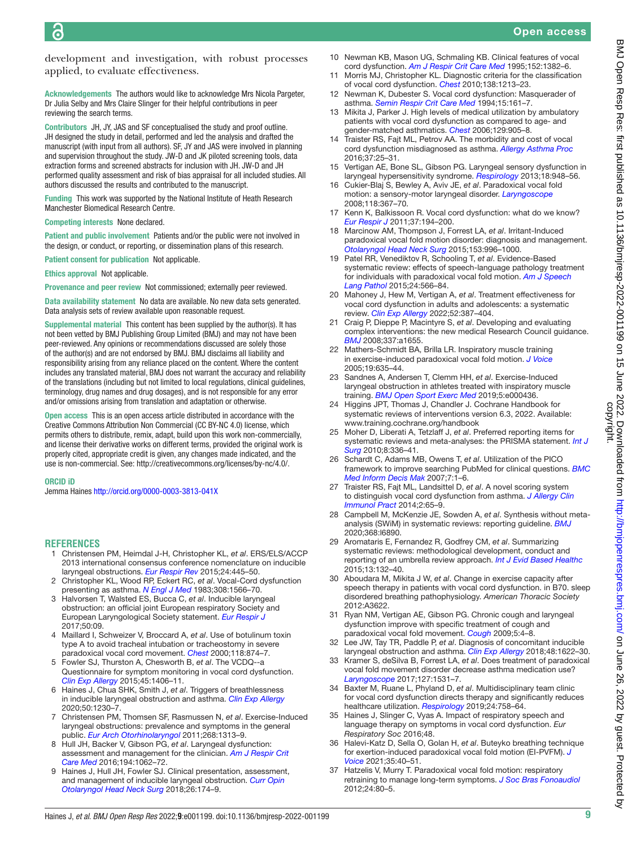development and investigation, with robust processes applied, to evaluate effectiveness.

Acknowledgements The authors would like to acknowledge Mrs Nicola Pargeter, Dr Julia Selby and Mrs Claire Slinger for their helpful contributions in peer reviewing the search terms.

Contributors JH, JY, JAS and SF conceptualised the study and proof outline. JH designed the study in detail, performed and led the analysis and drafted the manuscript (with input from all authors). SF, JY and JAS were involved in planning and supervision throughout the study. JW-D and JK piloted screening tools, data extraction forms and screened abstracts for inclusion with JH. JW-D and JH performed quality assessment and risk of bias appraisal for all included studies. All authors discussed the results and contributed to the manuscript.

Funding This work was supported by the National Institute of Heath Research Manchester Biomedical Research Centre.

Competing interests None declared.

Patient and public involvement Patients and/or the public were not involved in the design, or conduct, or reporting, or dissemination plans of this research.

Patient consent for publication Not applicable.

Ethics approval Not applicable.

Provenance and peer review Not commissioned; externally peer reviewed.

Data availability statement No data are available. No new data sets generated. Data analysis sets of review available upon reasonable request.

Supplemental material This content has been supplied by the author(s). It has not been vetted by BMJ Publishing Group Limited (BMJ) and may not have been peer-reviewed. Any opinions or recommendations discussed are solely those of the author(s) and are not endorsed by BMJ. BMJ disclaims all liability and responsibility arising from any reliance placed on the content. Where the content includes any translated material, BMJ does not warrant the accuracy and reliability of the translations (including but not limited to local regulations, clinical guidelines, terminology, drug names and drug dosages), and is not responsible for any error and/or omissions arising from translation and adaptation or otherwise.

Open access This is an open access article distributed in accordance with the Creative Commons Attribution Non Commercial (CC BY-NC 4.0) license, which permits others to distribute, remix, adapt, build upon this work non-commercially, and license their derivative works on different terms, provided the original work is properly cited, appropriate credit is given, any changes made indicated, and the use is non-commercial. See:<http://creativecommons.org/licenses/by-nc/4.0/>.

#### ORCID iD

Jemma Haines <http://orcid.org/0000-0003-3813-041X>

#### **REFERENCES**

- <span id="page-8-0"></span>1 Christensen PM, Heimdal J-H, Christopher KL, *et al*. ERS/ELS/ACCP 2013 international consensus conference nomenclature on inducible laryngeal obstructions. *[Eur Respir Rev](http://dx.doi.org/10.1183/16000617.00006513)* 2015;24:445–50.
- <span id="page-8-1"></span>2 Christopher KL, Wood RP, Eckert RC, *et al*. Vocal-Cord dysfunction presenting as asthma. *[N Engl J Med](http://dx.doi.org/10.1056/NEJM198306303082605)* 1983;308:1566–70.
- <span id="page-8-6"></span>3 Halvorsen T, Walsted ES, Bucca C, *et al*. Inducible laryngeal obstruction: an official joint European respiratory Society and European Laryngological Society statement. *[Eur Respir J](http://dx.doi.org/10.1183/13993003.02221-2016)* 2017;50:09.
- <span id="page-8-2"></span>4 Maillard I, Schweizer V, Broccard A, *et al*. Use of botulinum toxin type A to avoid tracheal intubation or tracheostomy in severe paradoxical vocal cord movement. *[Chest](http://dx.doi.org/10.1378/chest.118.3.874)* 2000;118:874–7.
- <span id="page-8-3"></span>5 Fowler SJ, Thurston A, Chesworth B, *et al*. The VCDQ--a Questionnaire for symptom monitoring in vocal cord dysfunction. *[Clin Exp Allergy](http://dx.doi.org/10.1111/cea.12550)* 2015;45:1406–11.
- <span id="page-8-4"></span>6 Haines J, Chua SHK, Smith J, *et al*. Triggers of breathlessness in inducible laryngeal obstruction and asthma. *[Clin Exp Allergy](http://dx.doi.org/10.1111/cea.13715)* 2020;50:1230–7.
- <span id="page-8-5"></span>7 Christensen PM, Thomsen SF, Rasmussen N, *et al*. Exercise-Induced laryngeal obstructions: prevalence and symptoms in the general public. *[Eur Arch Otorhinolaryngol](http://dx.doi.org/10.1007/s00405-011-1612-0)* 2011;268:1313–9.
- <span id="page-8-9"></span>8 Hull JH, Backer V, Gibson PG, *et al*. Laryngeal dysfunction: assessment and management for the clinician. *[Am J Respir Crit](http://dx.doi.org/10.1164/rccm.201606-1249CI)  [Care Med](http://dx.doi.org/10.1164/rccm.201606-1249CI)* 2016;194:1062–72.
- <span id="page-8-8"></span>Haines J, Hull JH, Fowler SJ. Clinical presentation, assessment, and management of inducible laryngeal obstruction. *[Curr Opin](http://dx.doi.org/10.1097/MOO.0000000000000452)  [Otolaryngol Head Neck Surg](http://dx.doi.org/10.1097/MOO.0000000000000452)* 2018;26:174–9.
- <span id="page-8-7"></span>10 Newman KB, Mason UG, Schmaling KB. Clinical features of vocal cord dysfunction. *[Am J Respir Crit Care Med](http://dx.doi.org/10.1164/ajrccm.152.4.7551399)* 1995;152:1382–6.
- 11 Morris MJ, Christopher KL. Diagnostic criteria for the classification of vocal cord dysfunction. *[Chest](http://dx.doi.org/10.1378/chest.09-2944)* 2010;138:1213–23.
- 12 Newman K, Dubester S. Vocal cord dysfunction: Masquerader of asthma. *[Semin Respir Crit Care Med](http://dx.doi.org/10.1055/s-2007-1006358)* 1994;15:161–7.
- 13 Mikita J, Parker J. High levels of medical utilization by ambulatory patients with vocal cord dysfunction as compared to age- and gender-matched asthmatics. *[Chest](http://dx.doi.org/10.1378/chest.129.4.905)* 2006;129:905–8.
- 14 Traister RS, Fajt ML, Petrov AA. The morbidity and cost of vocal cord dysfunction misdiagnosed as asthma. *[Allergy Asthma Proc](http://dx.doi.org/10.2500/aap.2016.37.3936)* 2016;37:25–31.
- 15 Vertigan AE, Bone SL, Gibson PG. Laryngeal sensory dysfunction in laryngeal hypersensitivity syndrome. *[Respirology](http://dx.doi.org/10.1111/resp.12103)* 2013;18:948–56.
- 16 Cukier-Blaj S, Bewley A, Aviv JE, *et al*. Paradoxical vocal fold motion: a sensory-motor laryngeal disorder. *[Laryngoscope](http://dx.doi.org/10.1097/MLG.0b013e31815988b0)* 2008;118:367–70.
- <span id="page-8-10"></span>17 Kenn K, Balkissoon R. Vocal cord dysfunction: what do we know? *[Eur Respir J](http://dx.doi.org/10.1183/09031936.00192809)* 2011;37:194–200.
- <span id="page-8-19"></span>18 Marcinow AM, Thompson J, Forrest LA, *et al*. Irritant-Induced paradoxical vocal fold motion disorder: diagnosis and management. *[Otolaryngol Head Neck Surg](http://dx.doi.org/10.1177/0194599815600144)* 2015;153:996–1000.
- <span id="page-8-11"></span>19 Patel RR, Venediktov R, Schooling T, *et al*. Evidence-Based systematic review: effects of speech-language pathology treatment for individuals with paradoxical vocal fold motion. *[Am J Speech](http://dx.doi.org/10.1044/2015_AJSLP-14-0120)  [Lang Pathol](http://dx.doi.org/10.1044/2015_AJSLP-14-0120)* 2015;24:566–84.
- <span id="page-8-12"></span>20 Mahoney J, Hew M, Vertigan A, *et al*. Treatment effectiveness for vocal cord dysfunction in adults and adolescents: a systematic review. *[Clin Exp Allergy](http://dx.doi.org/10.1111/cea.14036)* 2022;52:387–404.
- <span id="page-8-13"></span>21 Craig P, Dieppe P, Macintyre S, *et al*. Developing and evaluating complex interventions: the new medical Research Council guidance. *[BMJ](http://dx.doi.org/10.1136/bmj.a1655)* 2008;337:a1655.
- <span id="page-8-24"></span>22 Mathers-Schmidt BA, Brilla LR. Inspiratory muscle training in exercise-induced paradoxical vocal fold motion. *[J Voice](http://dx.doi.org/10.1016/j.jvoice.2005.03.005)* 2005;19:635–44.
- 23 Sandnes A, Andersen T, Clemm HH, *et al*. Exercise-Induced laryngeal obstruction in athletes treated with inspiratory muscle training. *[BMJ Open Sport Exerc Med](http://dx.doi.org/10.1136/bmjsem-2018-000436)* 2019;5:e000436.
- <span id="page-8-14"></span>24 Higgins JPT, Thomas J, Chandler J. Cochrane Handbook for systematic reviews of interventions version 6.3, 2022. Available: <www.training.cochrane.org/handbook>
- 25 Moher D, Liberati A, Tetzlaff J, *et al*. Preferred reporting items for systematic reviews and meta-analyses: the PRISMA statement. *[Int J](http://dx.doi.org/10.1016/j.ijsu.2010.02.007)  [Surg](http://dx.doi.org/10.1016/j.ijsu.2010.02.007)* 2010;8:336–41.
- <span id="page-8-15"></span>26 Schardt C, Adams MB, Owens T, *et al*. Utilization of the PICO framework to improve searching PubMed for clinical questions. *[BMC](http://dx.doi.org/10.1186/1472-6947-7-16) [Med Inform Decis Mak](http://dx.doi.org/10.1186/1472-6947-7-16)* 2007;7:1–6.
- <span id="page-8-16"></span>27 Traister RS, Fajt ML, Landsittel D, *et al*. A novel scoring system to distinguish vocal cord dysfunction from asthma. *[J Allergy Clin](http://dx.doi.org/10.1016/j.jaip.2013.09.002)  [Immunol Pract](http://dx.doi.org/10.1016/j.jaip.2013.09.002)* 2014;2:65–9.
- <span id="page-8-17"></span>28 Campbell M, McKenzie JE, Sowden A, *et al*. Synthesis without metaanalysis (SWiM) in systematic reviews: reporting guideline. *[BMJ](http://dx.doi.org/10.1136/bmj.l6890)* 2020;368:l6890.
- <span id="page-8-18"></span>29 Aromataris E, Fernandez R, Godfrey CM, *et al*. Summarizing systematic reviews: methodological development, conduct and reporting of an umbrella review approach. *[Int J Evid Based Healthc](http://dx.doi.org/10.1097/XEB.0000000000000055)* 2015;13:132–40.
- 30 Aboudara M, Mikita J W, *et al*. Change in exercise capacity after speech therapy in patients with vocal cord dysfunction. in B70. sleep disordered breathing pathophysiology. *American Thoracic Society* 2012:A3622.
- 31 Ryan NM, Vertigan AE, Gibson PG. Chronic cough and laryngeal dysfunction improve with specific treatment of cough and paradoxical vocal fold movement. *[Cough](http://dx.doi.org/10.1186/1745-9974-5-4)* 2009;5:4–8.
- <span id="page-8-25"></span>32 Lee JW, Tay TR, Paddle P, *et al*. Diagnosis of concomitant inducible laryngeal obstruction and asthma. *[Clin Exp Allergy](http://dx.doi.org/10.1111/cea.13185)* 2018;48:1622–30.
- <span id="page-8-20"></span>33 Kramer S, deSilva B, Forrest LA, *et al*. Does treatment of paradoxical vocal fold movement disorder decrease asthma medication use? *[Laryngoscope](http://dx.doi.org/10.1002/lary.26416)* 2017;127:1531–7.
- <span id="page-8-21"></span>34 Baxter M, Ruane L, Phyland D, *et al*. Multidisciplinary team clinic for vocal cord dysfunction directs therapy and significantly reduces healthcare utilization. *[Respirology](http://dx.doi.org/10.1111/resp.13520)* 2019;24:758–64.
- <span id="page-8-26"></span>35 Haines J, Slinger C, Vyas A. Impact of respiratory speech and language therapy on symptoms in vocal cord dysfunction. *Eur Respiratory Soc* 2016;48.
- <span id="page-8-22"></span>36 Halevi-Katz D, Sella O, Golan H, *et al*. Buteyko breathing technique for exertion-induced paradoxical vocal fold motion (EI-PVFM). *[J](http://dx.doi.org/10.1016/j.jvoice.2019.07.017)  [Voice](http://dx.doi.org/10.1016/j.jvoice.2019.07.017)* 2021;35:40–51.
- <span id="page-8-23"></span>37 Hatzelis V, Murry T. Paradoxical vocal fold motion: respiratory retraining to manage long-term symptoms. *[J Soc Bras Fonoaudiol](http://dx.doi.org/10.1590/S2179-64912012000100014)* 2012;24:80–5.